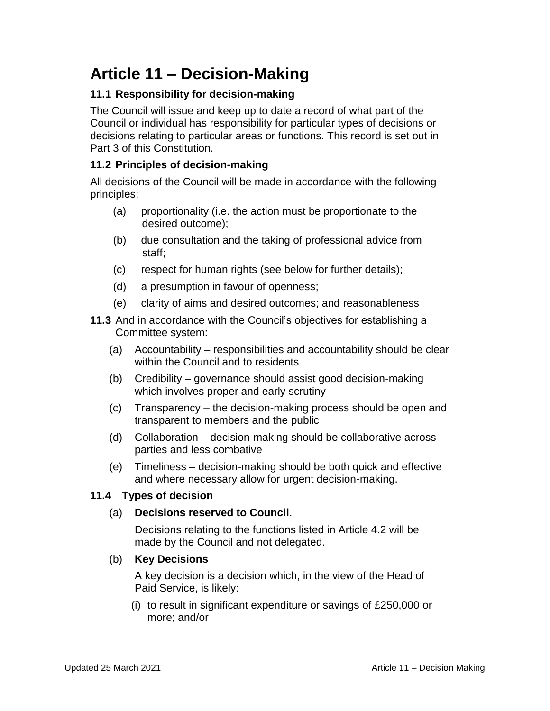# **Article 11 – Decision-Making**

# **11.1 Responsibility for decision-making**

The Council will issue and keep up to date a record of what part of the Council or individual has responsibility for particular types of decisions or decisions relating to particular areas or functions. This record is set out in Part 3 of this Constitution.

## **11.2 Principles of decision-making**

All decisions of the Council will be made in accordance with the following principles:

- (a) proportionality (i.e. the action must be proportionate to the desired outcome);
- (b) due consultation and the taking of professional advice from staff;
- (c) respect for human rights (see below for further details);
- (d) a presumption in favour of openness;
- (e) clarity of aims and desired outcomes; and reasonableness
- **11.3** And in accordance with the Council's objectives for establishing a Committee system:
	- (a) Accountability responsibilities and accountability should be clear within the Council and to residents
	- (b) Credibility governance should assist good decision-making which involves proper and early scrutiny
	- (c) Transparency the decision-making process should be open and transparent to members and the public
	- (d) Collaboration decision-making should be collaborative across parties and less combative
	- (e) Timeliness decision-making should be both quick and effective and where necessary allow for urgent decision-making.

#### **11.4 Types of decision**

#### (a) **Decisions reserved to Council**.

Decisions relating to the functions listed in Article 4.2 will be made by the Council and not delegated.

#### (b) **Key Decisions**

A key decision is a decision which, in the view of the Head of Paid Service, is likely:

(i) to result in significant expenditure or savings of £250,000 or more; and/or